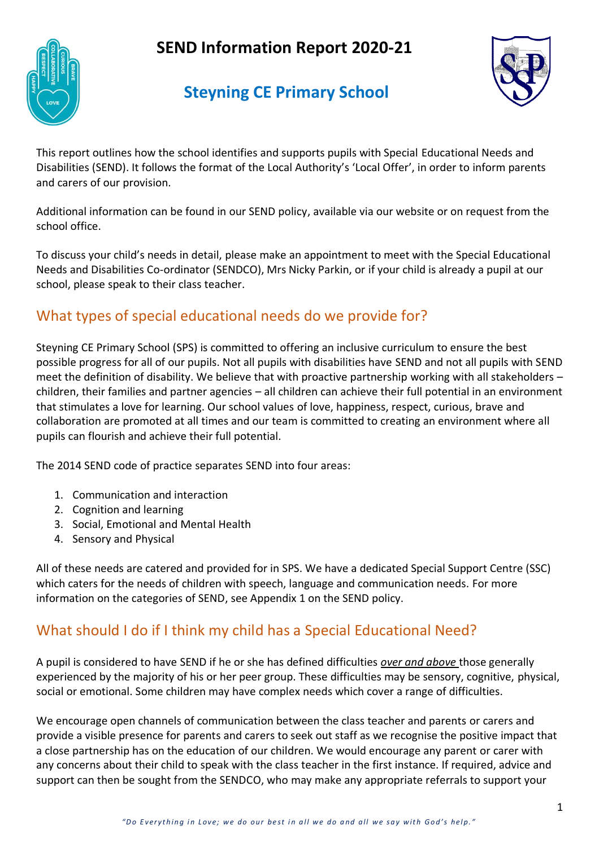# **SEND Information Report 2020-21**



# **Steyning CE Primary School**



This report outlines how the school identifies and supports pupils with Special Educational Needs and Disabilities (SEND). It follows the format of the Local Authority's 'Local Offer', in order to inform parents and carers of our provision.

Additional information can be found in our SEND policy, available via our website or on request from the school office.

To discuss your child's needs in detail, please make an appointment to meet with the Special Educational Needs and Disabilities Co-ordinator (SENDCO), Mrs Nicky Parkin, or if your child is already a pupil at our school, please speak to their class teacher.

## What types of special educational needs do we provide for?

Steyning CE Primary School (SPS) is committed to offering an inclusive curriculum to ensure the best possible progress for all of our pupils. Not all pupils with disabilities have SEND and not all pupils with SEND meet the definition of disability. We believe that with proactive partnership working with all stakeholders – children, their families and partner agencies – all children can achieve their full potential in an environment that stimulates a love for learning. Our school values of love, happiness, respect, curious, brave and collaboration are promoted at all times and our team is committed to creating an environment where all pupils can flourish and achieve their full potential.

The 2014 SEND code of practice separates SEND into four areas:

- 1. Communication and interaction
- 2. Cognition and learning
- 3. Social, Emotional and Mental Health
- 4. Sensory and Physical

All of these needs are catered and provided for in SPS. We have a dedicated Special Support Centre (SSC) which caters for the needs of children with speech, language and communication needs. For more information on the categories of SEND, see Appendix 1 on the SEND policy.

# What should I do if I think my child has a Special Educational Need?

A pupil is considered to have SEND if he or she has defined difficulties *over and above* those generally experienced by the majority of his or her peer group. These difficulties may be sensory, cognitive, physical, social or emotional. Some children may have complex needs which cover a range of difficulties.

We encourage open channels of communication between the class teacher and parents or carers and provide a visible presence for parents and carers to seek out staff as we recognise the positive impact that a close partnership has on the education of our children. We would encourage any parent or carer with any concerns about their child to speak with the class teacher in the first instance. If required, advice and support can then be sought from the SENDCO, who may make any appropriate referrals to support your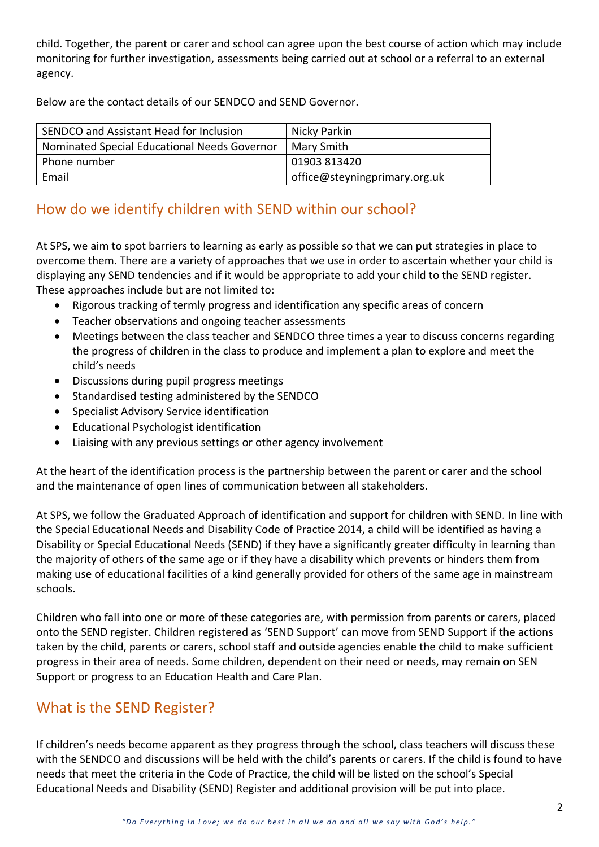child. Together, the parent or carer and school can agree upon the best course of action which may include monitoring for further investigation, assessments being carried out at school or a referral to an external agency.

Below are the contact details of our SENDCO and SEND Governor.

| SENDCO and Assistant Head for Inclusion      | Nicky Parkin                  |
|----------------------------------------------|-------------------------------|
| Nominated Special Educational Needs Governor | Mary Smith                    |
| Phone number                                 | 01903 813420                  |
| Email                                        | office@steyningprimary.org.uk |

### How do we identify children with SEND within our school?

At SPS, we aim to spot barriers to learning as early as possible so that we can put strategies in place to overcome them. There are a variety of approaches that we use in order to ascertain whether your child is displaying any SEND tendencies and if it would be appropriate to add your child to the SEND register. These approaches include but are not limited to:

- Rigorous tracking of termly progress and identification any specific areas of concern
- Teacher observations and ongoing teacher assessments
- Meetings between the class teacher and SENDCO three times a year to discuss concerns regarding the progress of children in the class to produce and implement a plan to explore and meet the child's needs
- Discussions during pupil progress meetings
- Standardised testing administered by the SENDCO
- Specialist Advisory Service identification
- Educational Psychologist identification
- Liaising with any previous settings or other agency involvement

At the heart of the identification process is the partnership between the parent or carer and the school and the maintenance of open lines of communication between all stakeholders.

At SPS, we follow the Graduated Approach of identification and support for children with SEND. In line with the Special Educational Needs and Disability Code of Practice 2014, a child will be identified as having a Disability or Special Educational Needs (SEND) if they have a significantly greater difficulty in learning than the majority of others of the same age or if they have a disability which prevents or hinders them from making use of educational facilities of a kind generally provided for others of the same age in mainstream schools.

Children who fall into one or more of these categories are, with permission from parents or carers, placed onto the SEND register. Children registered as 'SEND Support' can move from SEND Support if the actions taken by the child, parents or carers, school staff and outside agencies enable the child to make sufficient progress in their area of needs. Some children, dependent on their need or needs, may remain on SEN Support or progress to an Education Health and Care Plan.

### What is the SEND Register?

If children's needs become apparent as they progress through the school, class teachers will discuss these with the SENDCO and discussions will be held with the child's parents or carers. If the child is found to have needs that meet the criteria in the Code of Practice, the child will be listed on the school's Special Educational Needs and Disability (SEND) Register and additional provision will be put into place.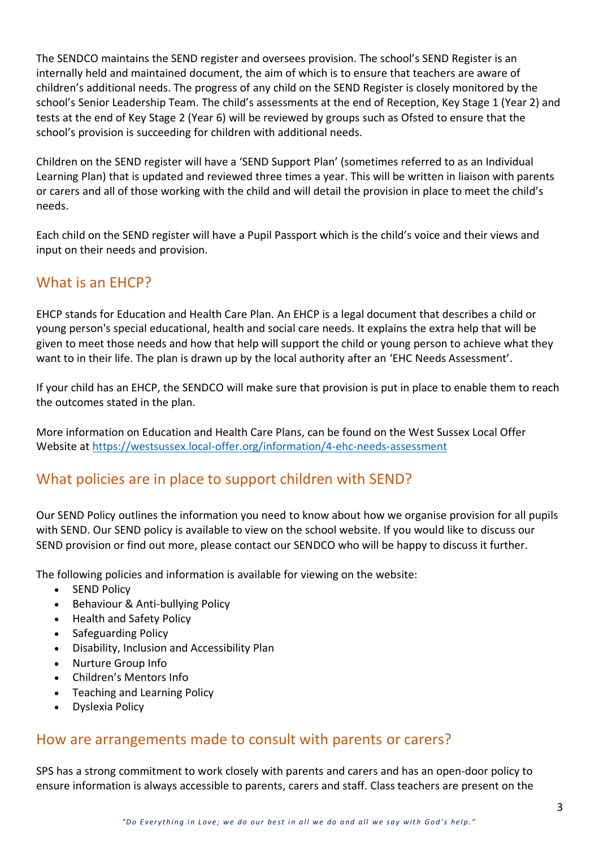The SENDCO maintains the SEND register and oversees provision. The school's SEND Register is an internally held and maintained document, the aim of which is to ensure that teachers are aware of children's additional needs. The progress of any child on the SEND Register is closely monitored by the school's Senior Leadership Team. The child's assessments at the end of Reception, Key Stage 1 (Year 2) and tests at the end of Key Stage 2 (Year 6) will be reviewed by groups such as Ofsted to ensure that the school's provision is succeeding for children with additional needs.

Children on the SEND register will have a 'SEND Support Plan' (sometimes referred to as an Individual Learning Plan) that is updated and reviewed three times a year. This will be written in liaison with parents or carers and all of those working with the child and will detail the provision in place to meet the child's needs.

Each child on the SEND register will have a Pupil Passport which is the child's voice and their views and input on their needs and provision.

### What is an EHCP?

EHCP stands for Education and Health Care Plan. An EHCP is a legal document that describes a child or young person's special educational, health and social care needs. It explains the extra help that will be given to meet those needs and how that help will support the child or young person to achieve what they want to in their life. The plan is drawn up by the local authority after an 'EHC Needs Assessment'.

If your child has an EHCP, the SENDCO will make sure that provision is put in place to enable them to reach the outcomes stated in the plan.

More information on Education and Health Care Plans, can be found on the West Sussex Local Offer Website at <https://westsussex.local-offer.org/information/4-ehc-needs-assessment>

#### What policies are in place to support children with SEND?

Our SEND Policy outlines the information you need to know about how we organise provision for all pupils with SEND. Our SEND policy is available to view on the school website. If you would like to discuss our SEND provision or find out more, please contact our SENDCO who will be happy to discuss it further.

The following policies and information is available for viewing on the website:

- SEND Policy
- Behaviour & Anti-bullying Policy
- Health and Safety Policy
- Safeguarding Policy
- Disability, Inclusion and Accessibility Plan
- Nurture Group Info
- Children's Mentors Info
- Teaching and Learning Policy
- Dyslexia Policy

#### How are arrangements made to consult with parents or carers?

SPS has a strong commitment to work closely with parents and carers and has an open-door policy to ensure information is always accessible to parents, carers and staff. Class teachers are present on the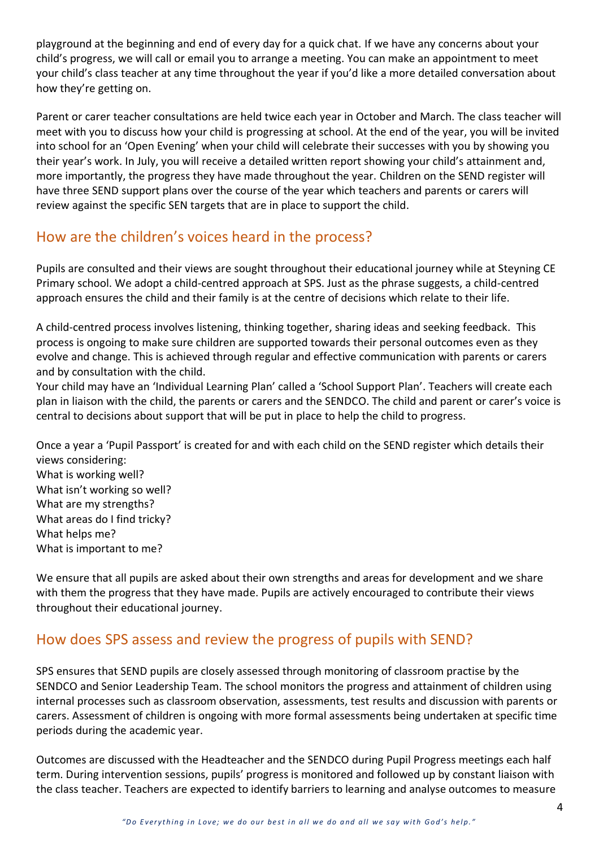playground at the beginning and end of every day for a quick chat. If we have any concerns about your child's progress, we will call or email you to arrange a meeting. You can make an appointment to meet your child's class teacher at any time throughout the year if you'd like a more detailed conversation about how they're getting on.

Parent or carer teacher consultations are held twice each year in October and March. The class teacher will meet with you to discuss how your child is progressing at school. At the end of the year, you will be invited into school for an 'Open Evening' when your child will celebrate their successes with you by showing you their year's work. In July, you will receive a detailed written report showing your child's attainment and, more importantly, the progress they have made throughout the year. Children on the SEND register will have three SEND support plans over the course of the year which teachers and parents or carers will review against the specific SEN targets that are in place to support the child.

## How are the children's voices heard in the process?

Pupils are consulted and their views are sought throughout their educational journey while at Steyning CE Primary school. We adopt a child-centred approach at SPS. Just as the phrase suggests, a child-centred approach ensures the child and their family is at the centre of decisions which relate to their life.

A child-centred process involves listening, thinking together, sharing ideas and seeking feedback. This process is ongoing to make sure children are supported towards their personal outcomes even as they evolve and change. This is achieved through regular and effective communication with parents or carers and by consultation with the child.

Your child may have an 'Individual Learning Plan' called a 'School Support Plan'. Teachers will create each plan in liaison with the child, the parents or carers and the SENDCO. The child and parent or carer's voice is central to decisions about support that will be put in place to help the child to progress.

Once a year a 'Pupil Passport' is created for and with each child on the SEND register which details their views considering: What is working well? What isn't working so well? What are my strengths? What areas do I find tricky? What helps me? What is important to me?

We ensure that all pupils are asked about their own strengths and areas for development and we share with them the progress that they have made. Pupils are actively encouraged to contribute their views throughout their educational journey.

# How does SPS assess and review the progress of pupils with SEND?

SPS ensures that SEND pupils are closely assessed through monitoring of classroom practise by the SENDCO and Senior Leadership Team. The school monitors the progress and attainment of children using internal processes such as classroom observation, assessments, test results and discussion with parents or carers. Assessment of children is ongoing with more formal assessments being undertaken at specific time periods during the academic year.

Outcomes are discussed with the Headteacher and the SENDCO during Pupil Progress meetings each half term. During intervention sessions, pupils' progress is monitored and followed up by constant liaison with the class teacher. Teachers are expected to identify barriers to learning and analyse outcomes to measure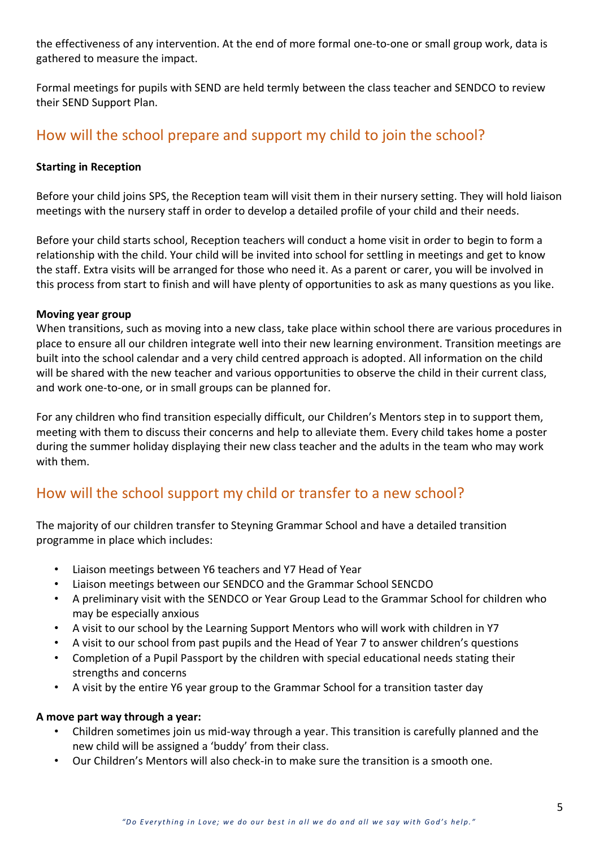the effectiveness of any intervention. At the end of more formal one-to-one or small group work, data is gathered to measure the impact.

Formal meetings for pupils with SEND are held termly between the class teacher and SENDCO to review their SEND Support Plan.

# How will the school prepare and support my child to join the school?

#### **Starting in Reception**

Before your child joins SPS, the Reception team will visit them in their nursery setting. They will hold liaison meetings with the nursery staff in order to develop a detailed profile of your child and their needs.

Before your child starts school, Reception teachers will conduct a home visit in order to begin to form a relationship with the child. Your child will be invited into school for settling in meetings and get to know the staff. Extra visits will be arranged for those who need it. As a parent or carer, you will be involved in this process from start to finish and will have plenty of opportunities to ask as many questions as you like.

#### **Moving year group**

When transitions, such as moving into a new class, take place within school there are various procedures in place to ensure all our children integrate well into their new learning environment. Transition meetings are built into the school calendar and a very child centred approach is adopted. All information on the child will be shared with the new teacher and various opportunities to observe the child in their current class, and work one-to-one, or in small groups can be planned for.

For any children who find transition especially difficult, our Children's Mentors step in to support them, meeting with them to discuss their concerns and help to alleviate them. Every child takes home a poster during the summer holiday displaying their new class teacher and the adults in the team who may work with them.

### How will the school support my child or transfer to a new school?

The majority of our children transfer to Steyning Grammar School and have a detailed transition programme in place which includes:

- Liaison meetings between Y6 teachers and Y7 Head of Year
- Liaison meetings between our SENDCO and the Grammar School SENCDO
- A preliminary visit with the SENDCO or Year Group Lead to the Grammar School for children who may be especially anxious
- A visit to our school by the Learning Support Mentors who will work with children in Y7
- A visit to our school from past pupils and the Head of Year 7 to answer children's questions
- Completion of a Pupil Passport by the children with special educational needs stating their strengths and concerns
- A visit by the entire Y6 year group to the Grammar School for a transition taster day

#### **A move part way through a year:**

- Children sometimes join us mid-way through a year. This transition is carefully planned and the new child will be assigned a 'buddy' from their class.
- Our Children's Mentors will also check-in to make sure the transition is a smooth one.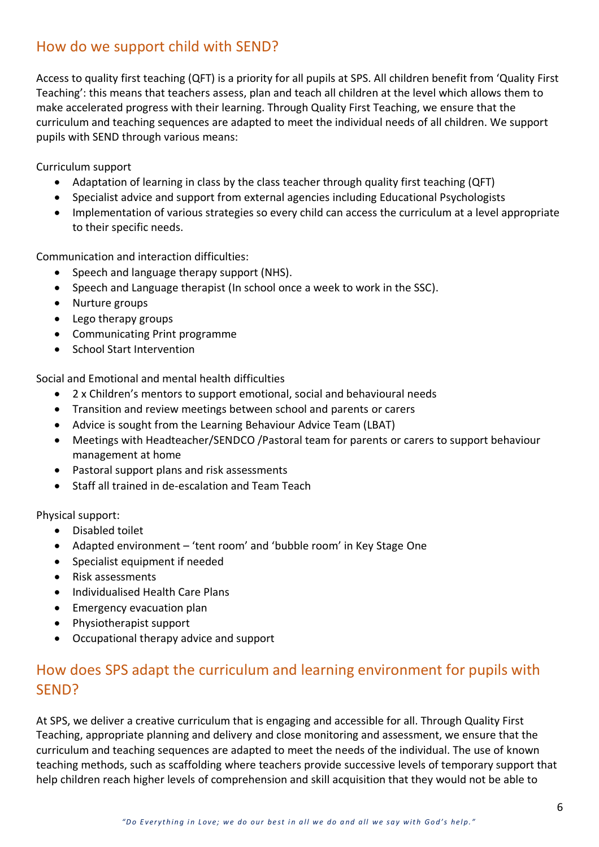### How do we support child with SEND?

Access to quality first teaching (QFT) is a priority for all pupils at SPS. All children benefit from 'Quality First Teaching': this means that teachers assess, plan and teach all children at the level which allows them to make accelerated progress with their learning. Through Quality First Teaching, we ensure that the curriculum and teaching sequences are adapted to meet the individual needs of all children. We support pupils with SEND through various means:

Curriculum support

- Adaptation of learning in class by the class teacher through quality first teaching (QFT)
- Specialist advice and support from external agencies including Educational Psychologists
- Implementation of various strategies so every child can access the curriculum at a level appropriate to their specific needs.

Communication and interaction difficulties:

- Speech and language therapy support (NHS).
- Speech and Language therapist (In school once a week to work in the SSC).
- Nurture groups
- Lego therapy groups
- Communicating Print programme
- School Start Intervention

Social and Emotional and mental health difficulties

- 2 x Children's mentors to support emotional, social and behavioural needs
- Transition and review meetings between school and parents or carers
- Advice is sought from the Learning Behaviour Advice Team (LBAT)
- Meetings with Headteacher/SENDCO /Pastoral team for parents or carers to support behaviour management at home
- Pastoral support plans and risk assessments
- Staff all trained in de-escalation and Team Teach

Physical support:

- Disabled toilet
- Adapted environment 'tent room' and 'bubble room' in Key Stage One
- Specialist equipment if needed
- Risk assessments
- Individualised Health Care Plans
- Emergency evacuation plan
- Physiotherapist support
- Occupational therapy advice and support

# How does SPS adapt the curriculum and learning environment for pupils with SEND?

At SPS, we deliver a creative curriculum that is engaging and accessible for all. Through Quality First Teaching, appropriate planning and delivery and close monitoring and assessment, we ensure that the curriculum and teaching sequences are adapted to meet the needs of the individual. The use of known teaching methods, such as scaffolding where teachers provide successive levels of temporary support that help children reach higher levels of comprehension and skill acquisition that they would not be able to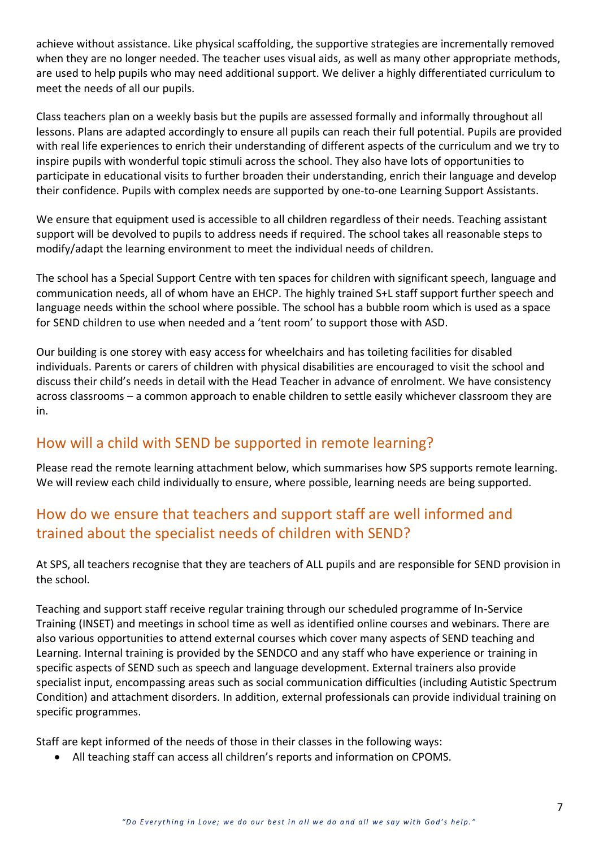achieve without assistance. Like physical scaffolding, the supportive strategies are incrementally removed when they are no longer needed. The teacher uses visual aids, as well as many other appropriate methods, are used to help pupils who may need additional support. We deliver a highly differentiated curriculum to meet the needs of all our pupils.

Class teachers plan on a weekly basis but the pupils are assessed formally and informally throughout all lessons. Plans are adapted accordingly to ensure all pupils can reach their full potential. Pupils are provided with real life experiences to enrich their understanding of different aspects of the curriculum and we try to inspire pupils with wonderful topic stimuli across the school. They also have lots of opportunities to participate in educational visits to further broaden their understanding, enrich their language and develop their confidence. Pupils with complex needs are supported by one-to-one Learning Support Assistants.

We ensure that equipment used is accessible to all children regardless of their needs. Teaching assistant support will be devolved to pupils to address needs if required. The school takes all reasonable steps to modify/adapt the learning environment to meet the individual needs of children.

The school has a Special Support Centre with ten spaces for children with significant speech, language and communication needs, all of whom have an EHCP. The highly trained S+L staff support further speech and language needs within the school where possible. The school has a bubble room which is used as a space for SEND children to use when needed and a 'tent room' to support those with ASD.

Our building is one storey with easy access for wheelchairs and has toileting facilities for disabled individuals. Parents or carers of children with physical disabilities are encouraged to visit the school and discuss their child's needs in detail with the Head Teacher in advance of enrolment. We have consistency across classrooms – a common approach to enable children to settle easily whichever classroom they are in.

### How will a child with SEND be supported in remote learning?

Please read the remote learning attachment below, which summarises how SPS supports remote learning. We will review each child individually to ensure, where possible, learning needs are being supported.

# How do we ensure that teachers and support staff are well informed and trained about the specialist needs of children with SEND?

At SPS, all teachers recognise that they are teachers of ALL pupils and are responsible for SEND provision in the school.

Teaching and support staff receive regular training through our scheduled programme of In-Service Training (INSET) and meetings in school time as well as identified online courses and webinars. There are also various opportunities to attend external courses which cover many aspects of SEND teaching and Learning. Internal training is provided by the SENDCO and any staff who have experience or training in specific aspects of SEND such as speech and language development. External trainers also provide specialist input, encompassing areas such as social communication difficulties (including Autistic Spectrum Condition) and attachment disorders. In addition, external professionals can provide individual training on specific programmes.

Staff are kept informed of the needs of those in their classes in the following ways:

• All teaching staff can access all children's reports and information on CPOMS.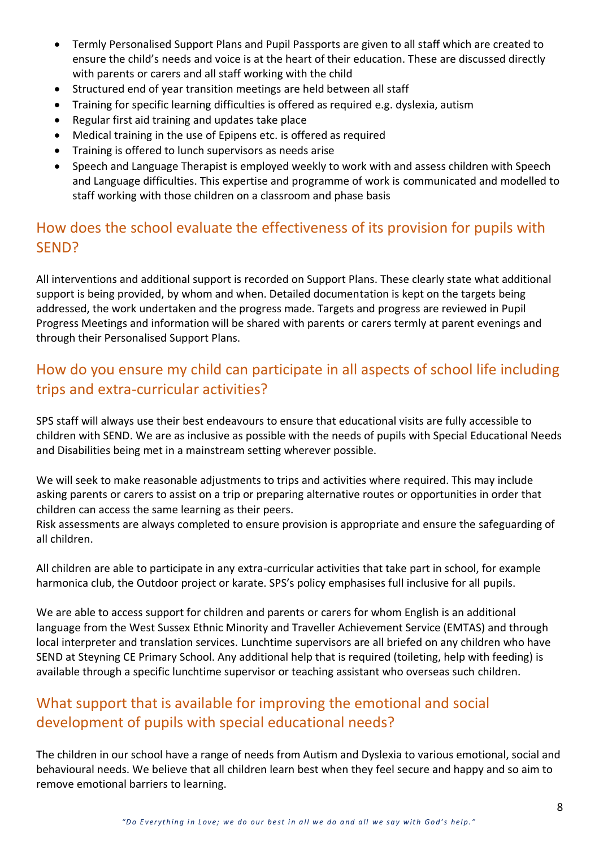- Termly Personalised Support Plans and Pupil Passports are given to all staff which are created to ensure the child's needs and voice is at the heart of their education. These are discussed directly with parents or carers and all staff working with the child
- Structured end of year transition meetings are held between all staff
- Training for specific learning difficulties is offered as required e.g. dyslexia, autism
- Regular first aid training and updates take place
- Medical training in the use of Epipens etc. is offered as required
- Training is offered to lunch supervisors as needs arise
- Speech and Language Therapist is employed weekly to work with and assess children with Speech and Language difficulties. This expertise and programme of work is communicated and modelled to staff working with those children on a classroom and phase basis

# How does the school evaluate the effectiveness of its provision for pupils with SEND?

All interventions and additional support is recorded on Support Plans. These clearly state what additional support is being provided, by whom and when. Detailed documentation is kept on the targets being addressed, the work undertaken and the progress made. Targets and progress are reviewed in Pupil Progress Meetings and information will be shared with parents or carers termly at parent evenings and through their Personalised Support Plans.

# How do you ensure my child can participate in all aspects of school life including trips and extra-curricular activities?

SPS staff will always use their best endeavours to ensure that educational visits are fully accessible to children with SEND. We are as inclusive as possible with the needs of pupils with Special Educational Needs and Disabilities being met in a mainstream setting wherever possible.

We will seek to make reasonable adjustments to trips and activities where required. This may include asking parents or carers to assist on a trip or preparing alternative routes or opportunities in order that children can access the same learning as their peers.

Risk assessments are always completed to ensure provision is appropriate and ensure the safeguarding of all children.

All children are able to participate in any extra-curricular activities that take part in school, for example harmonica club, the Outdoor project or karate. SPS's policy emphasises full inclusive for all pupils.

We are able to access support for children and parents or carers for whom English is an additional language from the West Sussex Ethnic Minority and Traveller Achievement Service (EMTAS) and through local interpreter and translation services. Lunchtime supervisors are all briefed on any children who have SEND at Steyning CE Primary School. Any additional help that is required (toileting, help with feeding) is available through a specific lunchtime supervisor or teaching assistant who overseas such children.

# What support that is available for improving the emotional and social development of pupils with special educational needs?

The children in our school have a range of needs from Autism and Dyslexia to various emotional, social and behavioural needs. We believe that all children learn best when they feel secure and happy and so aim to remove emotional barriers to learning.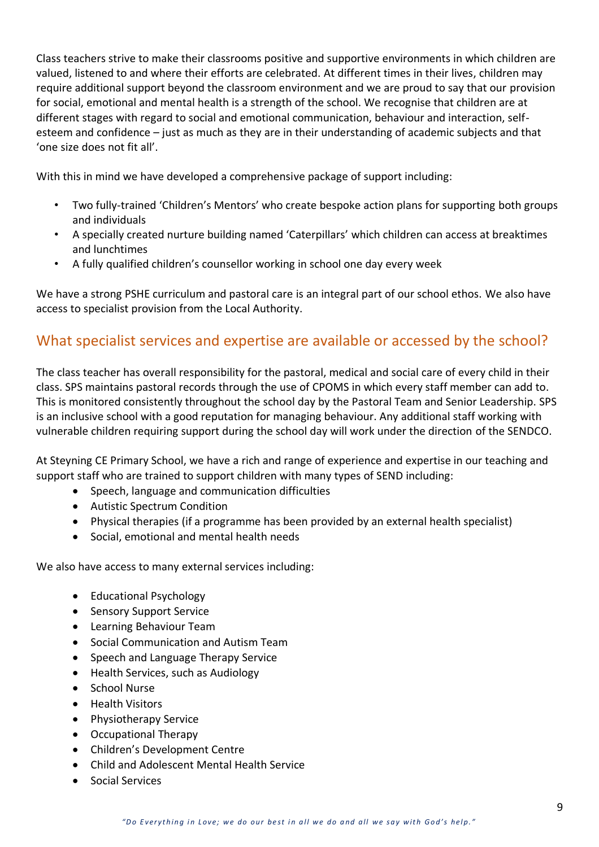Class teachers strive to make their classrooms positive and supportive environments in which children are valued, listened to and where their efforts are celebrated. At different times in their lives, children may require additional support beyond the classroom environment and we are proud to say that our provision for social, emotional and mental health is a strength of the school. We recognise that children are at different stages with regard to social and emotional communication, behaviour and interaction, selfesteem and confidence – just as much as they are in their understanding of academic subjects and that 'one size does not fit all'.

With this in mind we have developed a comprehensive package of support including:

- Two fully-trained 'Children's Mentors' who create bespoke action plans for supporting both groups and individuals
- A specially created nurture building named 'Caterpillars' which children can access at breaktimes and lunchtimes
- A fully qualified children's counsellor working in school one day every week

We have a strong PSHE curriculum and pastoral care is an integral part of our school ethos. We also have access to specialist provision from the Local Authority.

### What specialist services and expertise are available or accessed by the school?

The class teacher has overall responsibility for the pastoral, medical and social care of every child in their class. SPS maintains pastoral records through the use of CPOMS in which every staff member can add to. This is monitored consistently throughout the school day by the Pastoral Team and Senior Leadership. SPS is an inclusive school with a good reputation for managing behaviour. Any additional staff working with vulnerable children requiring support during the school day will work under the direction of the SENDCO.

At Steyning CE Primary School, we have a rich and range of experience and expertise in our teaching and support staff who are trained to support children with many types of SEND including:

- Speech, language and communication difficulties
- Autistic Spectrum Condition
- Physical therapies (if a programme has been provided by an external health specialist)
- Social, emotional and mental health needs

We also have access to many external services including:

- Educational Psychology
- Sensory Support Service
- Learning Behaviour Team
- Social Communication and Autism Team
- Speech and Language Therapy Service
- Health Services, such as Audiology
- School Nurse
- Health Visitors
- Physiotherapy Service
- Occupational Therapy
- Children's Development Centre
- Child and Adolescent Mental Health Service
- Social Services